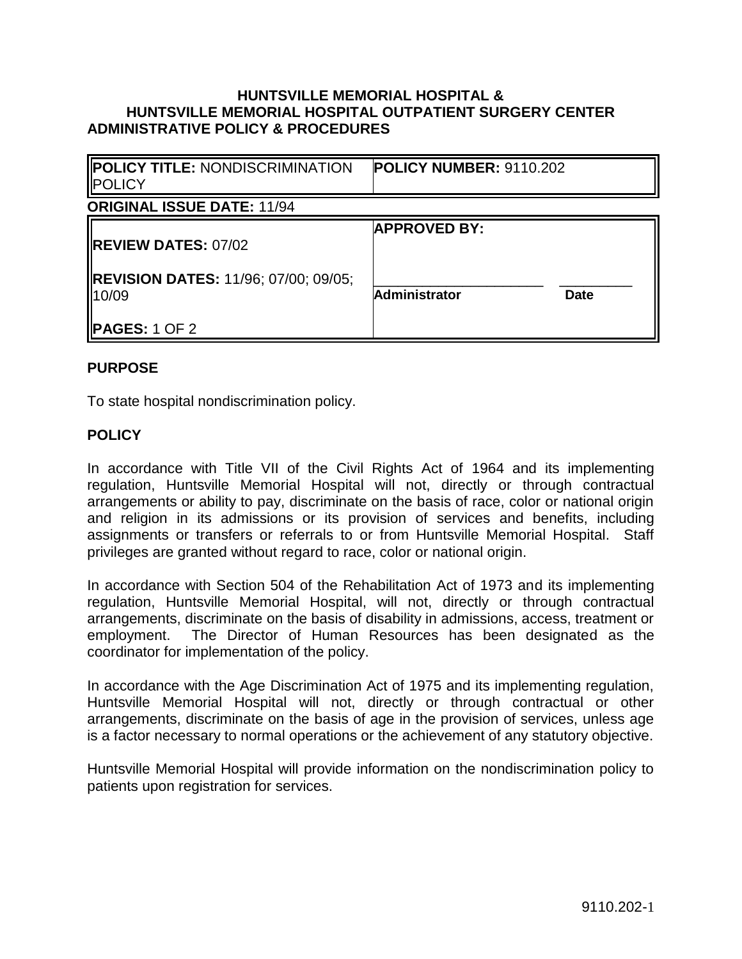## **HUNTSVILLE MEMORIAL HOSPITAL & HUNTSVILLE MEMORIAL HOSPITAL OUTPATIENT SURGERY CENTER ADMINISTRATIVE POLICY & PROCEDURES**

| <b>POLICY TITLE: NONDISCRIMINATION</b><br><b>POLICY</b>                               | <b>POLICY NUMBER: 9110.202</b>                             |  |
|---------------------------------------------------------------------------------------|------------------------------------------------------------|--|
| <b>ORIGINAL ISSUE DATE: 11/94</b>                                                     |                                                            |  |
| <b>IREVIEW DATES: 07/02</b><br><b>IREVISION DATES: 11/96; 07/00; 09/05;</b><br>110/09 | <b>APPROVED BY:</b><br><b>Administrator</b><br><b>Date</b> |  |
| <b>IPAGES:</b> 1 OF 2                                                                 |                                                            |  |

## **PURPOSE**

To state hospital nondiscrimination policy.

## **POLICY**

In accordance with Title VII of the Civil Rights Act of 1964 and its implementing regulation, Huntsville Memorial Hospital will not, directly or through contractual arrangements or ability to pay, discriminate on the basis of race, color or national origin and religion in its admissions or its provision of services and benefits, including assignments or transfers or referrals to or from Huntsville Memorial Hospital. Staff privileges are granted without regard to race, color or national origin.

In accordance with Section 504 of the Rehabilitation Act of 1973 and its implementing regulation, Huntsville Memorial Hospital, will not, directly or through contractual arrangements, discriminate on the basis of disability in admissions, access, treatment or employment. The Director of Human Resources has been designated as the coordinator for implementation of the policy.

In accordance with the Age Discrimination Act of 1975 and its implementing regulation, Huntsville Memorial Hospital will not, directly or through contractual or other arrangements, discriminate on the basis of age in the provision of services, unless age is a factor necessary to normal operations or the achievement of any statutory objective.

Huntsville Memorial Hospital will provide information on the nondiscrimination policy to patients upon registration for services.